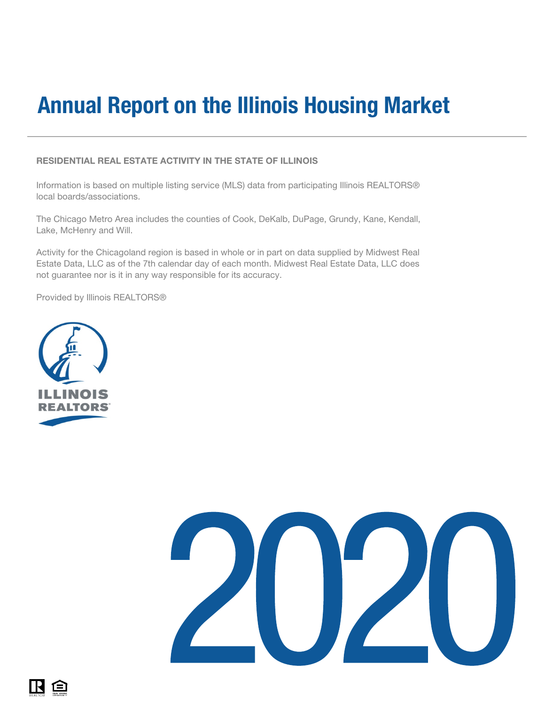#### RESIDENTIAL REAL ESTATE ACTIVITY IN THE STATE OF ILLINOIS

Information is based on multiple listing service (MLS) data from participating Illinois REALTORS® local boards/associations.

The Chicago Metro Area includes the counties of Cook, DeKalb, DuPage, Grundy, Kane, Kendall, Lake, McHenry and Will.

Activity for the Chicagoland region is based in whole or in part on data supplied by Midwest Real Estate Data, LLC as of the 7th calendar day of each month. Midwest Real Estate Data, LLC does not guarantee nor is it in any way responsible for its accuracy.

Provided by Illinois REALTORS®





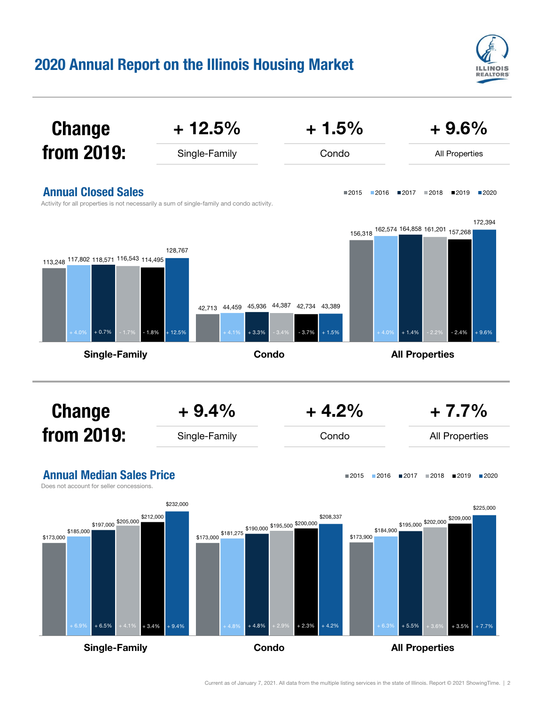

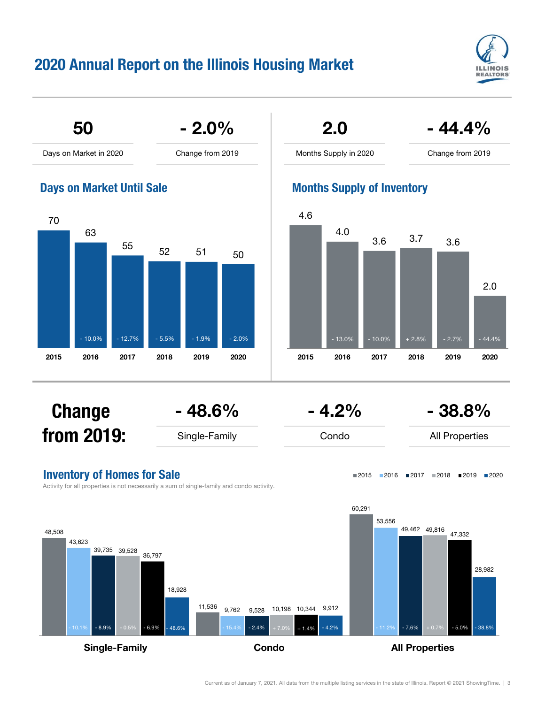



Single-Family **Condo** Condo **All Properties** 

Current as of January 7, 2021. All data from the multiple listing services in the state of Illinois. Report © 2021 ShowingTime. | 3